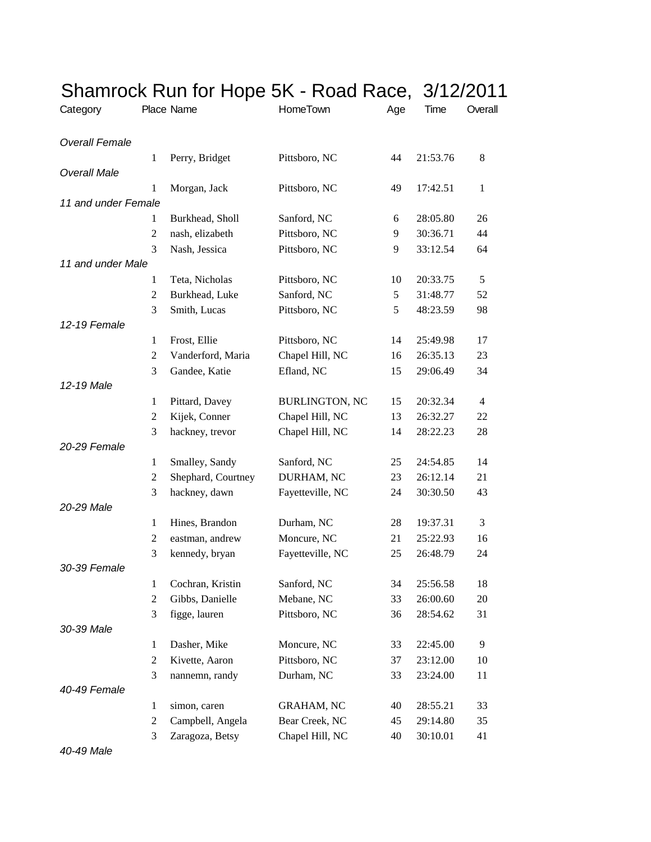| Category              |                | Place Name         | Shamrock Run for Hope 5K - Road Race, 3/12/2011<br>HomeTown | Age | Time     | Overall      |
|-----------------------|----------------|--------------------|-------------------------------------------------------------|-----|----------|--------------|
| <b>Overall Female</b> |                |                    |                                                             |     |          |              |
|                       | 1              | Perry, Bridget     | Pittsboro, NC                                               | 44  | 21:53.76 | 8            |
| <b>Overall Male</b>   |                |                    |                                                             |     |          |              |
|                       | 1              | Morgan, Jack       | Pittsboro, NC                                               | 49  | 17:42.51 | $\mathbf{1}$ |
| 11 and under Female   |                |                    |                                                             |     |          |              |
|                       | 1              | Burkhead, Sholl    | Sanford, NC                                                 | 6   | 28:05.80 | 26           |
|                       | $\overline{2}$ | nash, elizabeth    | Pittsboro, NC                                               | 9   | 30:36.71 | 44           |
|                       | 3              | Nash, Jessica      | Pittsboro, NC                                               | 9   | 33:12.54 | 64           |
| 11 and under Male     |                |                    |                                                             |     |          |              |
|                       | $\mathbf{1}$   | Teta, Nicholas     | Pittsboro, NC                                               | 10  | 20:33.75 | 5            |
|                       | 2              | Burkhead, Luke     | Sanford, NC                                                 | 5   | 31:48.77 | 52           |
|                       | 3              | Smith, Lucas       | Pittsboro, NC                                               | 5   | 48:23.59 | 98           |
| 12-19 Female          |                |                    |                                                             |     |          |              |
|                       | $\mathbf{1}$   | Frost, Ellie       | Pittsboro, NC                                               | 14  | 25:49.98 | 17           |
|                       | $\overline{2}$ | Vanderford, Maria  | Chapel Hill, NC                                             | 16  | 26:35.13 | 23           |
|                       | 3              | Gandee, Katie      | Efland, NC                                                  | 15  | 29:06.49 | 34           |
| 12-19 Male            |                |                    |                                                             |     |          |              |
|                       | 1              | Pittard, Davey     | <b>BURLINGTON, NC</b>                                       | 15  | 20:32.34 | 4            |
|                       | $\overline{2}$ | Kijek, Conner      | Chapel Hill, NC                                             | 13  | 26:32.27 | 22           |
|                       | 3              | hackney, trevor    | Chapel Hill, NC                                             | 14  | 28:22.23 | 28           |
| 20-29 Female          |                |                    |                                                             |     |          |              |
|                       | $\mathbf{1}$   | Smalley, Sandy     | Sanford, NC                                                 | 25  | 24:54.85 | 14           |
|                       | 2              | Shephard, Courtney | DURHAM, NC                                                  | 23  | 26:12.14 | 21           |
|                       | 3              | hackney, dawn      | Fayetteville, NC                                            | 24  | 30:30.50 | 43           |
| 20-29 Male            |                |                    |                                                             |     |          |              |
|                       | $\mathbf{1}$   | Hines, Brandon     | Durham, NC                                                  | 28  | 19:37.31 | 3            |
|                       | $\overline{2}$ | eastman, andrew    | Moncure, NC                                                 | 21  | 25:22.93 | 16           |
|                       | 3              | kennedy, bryan     | Fayetteville, NC                                            | 25  | 26:48.79 | 24           |
| 30-39 Female          |                |                    |                                                             |     |          |              |
|                       | $\mathbf{1}$   | Cochran, Kristin   | Sanford, NC                                                 | 34  | 25:56.58 | 18           |
|                       | $\overline{2}$ |                    | Mebane, NC                                                  |     |          |              |
|                       |                | Gibbs, Danielle    |                                                             | 33  | 26:00.60 | 20           |
| 30-39 Male            | 3              | figge, lauren      | Pittsboro, NC                                               | 36  | 28:54.62 | 31           |
|                       |                |                    |                                                             |     |          |              |
|                       | $\mathbf{1}$   | Dasher, Mike       | Moncure, NC                                                 | 33  | 22:45.00 | 9            |
|                       | $\overline{c}$ | Kivette, Aaron     | Pittsboro, NC                                               | 37  | 23:12.00 | 10           |
|                       | 3              | nannemn, randy     | Durham, NC                                                  | 33  | 23:24.00 | 11           |
| 40-49 Female          |                |                    |                                                             |     |          |              |
|                       | $\mathbf{1}$   | simon, caren       | <b>GRAHAM, NC</b>                                           | 40  | 28:55.21 | 33           |
|                       | $\overline{c}$ | Campbell, Angela   | Bear Creek, NC                                              | 45  | 29:14.80 | 35           |
|                       | 3              | Zaragoza, Betsy    | Chapel Hill, NC                                             | 40  | 30:10.01 | 41           |

*40-49 Male*